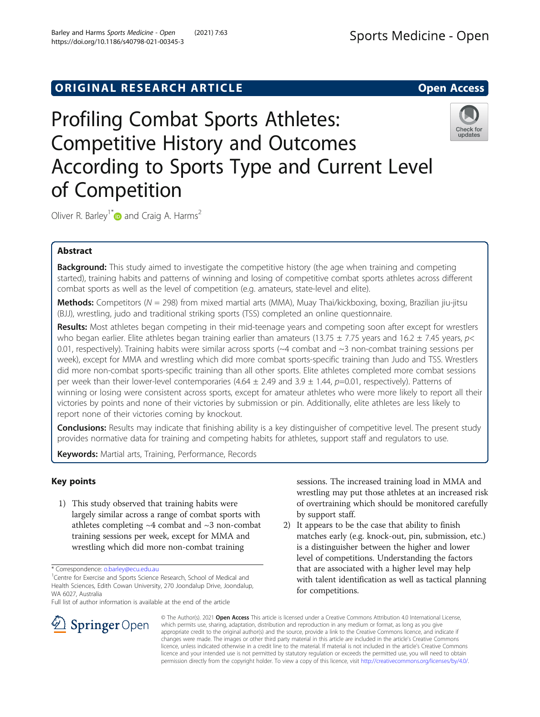## ORIGINAL RESEARCH ARTICLE **External in the Second Access**

# Profiling Combat Sports Athletes: Competitive History and Outcomes According to Sports Type and Current Level of Competition



Oliver R. Barley<sup>1[\\*](http://orcid.org/0000-0002-8543-9818)</sup> and Craig A. Harms<sup>2</sup>

## Abstract

Background: This study aimed to investigate the competitive history (the age when training and competing started), training habits and patterns of winning and losing of competitive combat sports athletes across different combat sports as well as the level of competition (e.g. amateurs, state-level and elite).

**Methods:** Competitors ( $N = 298$ ) from mixed martial arts (MMA), Muay Thai/kickboxing, boxing, Brazilian jiu-jitsu (BJJ), wrestling, judo and traditional striking sports (TSS) completed an online questionnaire.

Results: Most athletes began competing in their mid-teenage years and competing soon after except for wrestlers who began earlier. Elite athletes began training earlier than amateurs (13.75  $\pm$  7.75 years and 16.2  $\pm$  7.45 years, p< 0.01, respectively). Training habits were similar across sports (~4 combat and ~3 non-combat training sessions per week), except for MMA and wrestling which did more combat sports-specific training than Judo and TSS. Wrestlers did more non-combat sports-specific training than all other sports. Elite athletes completed more combat sessions per week than their lower-level contemporaries (4.64  $\pm$  2.49 and 3.9  $\pm$  1.44, p=0.01, respectively). Patterns of winning or losing were consistent across sports, except for amateur athletes who were more likely to report all their victories by points and none of their victories by submission or pin. Additionally, elite athletes are less likely to report none of their victories coming by knockout.

**Conclusions:** Results may indicate that finishing ability is a key distinguisher of competitive level. The present study provides normative data for training and competing habits for athletes, support staff and regulators to use.

Keywords: Martial arts, Training, Performance, Records

## Key points

1) This study observed that training habits were largely similar across a range of combat sports with athletes completing  $~4$  combat and  $~3$  non-combat training sessions per week, except for MMA and wrestling which did more non-combat training

Full list of author information is available at the end of the article

sessions. The increased training load in MMA and wrestling may put those athletes at an increased risk of overtraining which should be monitored carefully by support staff.

2) It appears to be the case that ability to finish matches early (e.g. knock-out, pin, submission, etc.) is a distinguisher between the higher and lower level of competitions. Understanding the factors that are associated with a higher level may help with talent identification as well as tactical planning for competitions.



© The Author(s). 2021 Open Access This article is licensed under a Creative Commons Attribution 4.0 International License, which permits use, sharing, adaptation, distribution and reproduction in any medium or format, as long as you give appropriate credit to the original author(s) and the source, provide a link to the Creative Commons licence, and indicate if changes were made. The images or other third party material in this article are included in the article's Creative Commons licence, unless indicated otherwise in a credit line to the material. If material is not included in the article's Creative Commons licence and your intended use is not permitted by statutory regulation or exceeds the permitted use, you will need to obtain permission directly from the copyright holder. To view a copy of this licence, visit <http://creativecommons.org/licenses/by/4.0/>.

<sup>\*</sup> Correspondence: [o.barley@ecu.edu.au](mailto:o.barley@ecu.edu.au) <sup>1</sup>

<sup>&</sup>lt;sup>1</sup> Centre for Exercise and Sports Science Research, School of Medical and Health Sciences, Edith Cowan University, 270 Joondalup Drive, Joondalup, WA 6027, Australia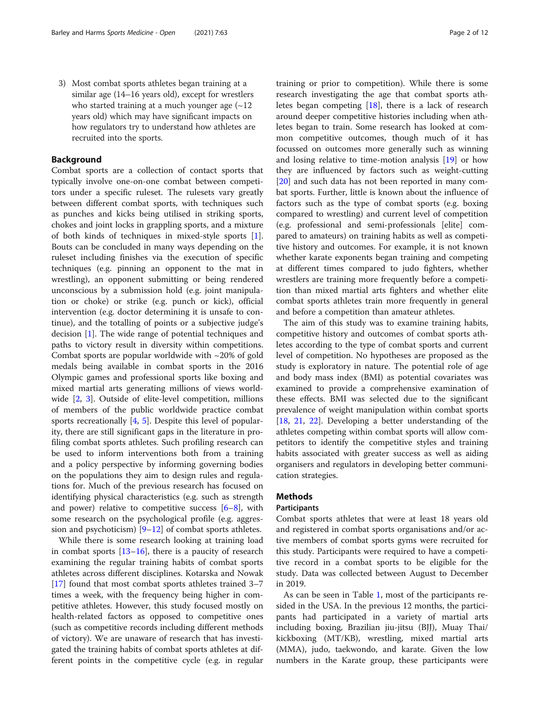3) Most combat sports athletes began training at a similar age (14–16 years old), except for wrestlers who started training at a much younger age  $(\sim 12)$ years old) which may have significant impacts on how regulators try to understand how athletes are recruited into the sports.

#### Background

Combat sports are a collection of contact sports that typically involve one-on-one combat between competitors under a specific ruleset. The rulesets vary greatly between different combat sports, with techniques such as punches and kicks being utilised in striking sports, chokes and joint locks in grappling sports, and a mixture of both kinds of techniques in mixed-style sports [\[1](#page-10-0)]. Bouts can be concluded in many ways depending on the ruleset including finishes via the execution of specific techniques (e.g. pinning an opponent to the mat in wrestling), an opponent submitting or being rendered unconscious by a submission hold (e.g. joint manipulation or choke) or strike (e.g. punch or kick), official intervention (e.g. doctor determining it is unsafe to continue), and the totalling of points or a subjective judge's decision [[1](#page-10-0)]. The wide range of potential techniques and paths to victory result in diversity within competitions. Combat sports are popular worldwide with  $\sim$ 20% of gold medals being available in combat sports in the 2016 Olympic games and professional sports like boxing and mixed martial arts generating millions of views worldwide [\[2](#page-10-0), [3\]](#page-10-0). Outside of elite-level competition, millions of members of the public worldwide practice combat sports recreationally [\[4](#page-10-0), [5\]](#page-10-0). Despite this level of popularity, there are still significant gaps in the literature in profiling combat sports athletes. Such profiling research can be used to inform interventions both from a training and a policy perspective by informing governing bodies on the populations they aim to design rules and regulations for. Much of the previous research has focused on identifying physical characteristics (e.g. such as strength and power) relative to competitive success  $[6-8]$  $[6-8]$  $[6-8]$  $[6-8]$ , with some research on the psychological profile (e.g. aggression and psychoticism)  $[9-12]$  $[9-12]$  $[9-12]$  $[9-12]$  $[9-12]$  of combat sports athletes.

While there is some research looking at training load in combat sports  $[13-16]$  $[13-16]$  $[13-16]$ , there is a paucity of research examining the regular training habits of combat sports athletes across different disciplines. Kotarska and Nowak [[17\]](#page-11-0) found that most combat sports athletes trained 3–7 times a week, with the frequency being higher in competitive athletes. However, this study focused mostly on health-related factors as opposed to competitive ones (such as competitive records including different methods of victory). We are unaware of research that has investigated the training habits of combat sports athletes at different points in the competitive cycle (e.g. in regular training or prior to competition). While there is some research investigating the age that combat sports athletes began competing [[18\]](#page-11-0), there is a lack of research around deeper competitive histories including when athletes began to train. Some research has looked at common competitive outcomes, though much of it has focussed on outcomes more generally such as winning and losing relative to time-motion analysis [[19](#page-11-0)] or how they are influenced by factors such as weight-cutting [[20\]](#page-11-0) and such data has not been reported in many combat sports. Further, little is known about the influence of factors such as the type of combat sports (e.g. boxing compared to wrestling) and current level of competition (e.g. professional and semi-professionals [elite] compared to amateurs) on training habits as well as competitive history and outcomes. For example, it is not known whether karate exponents began training and competing at different times compared to judo fighters, whether wrestlers are training more frequently before a competition than mixed martial arts fighters and whether elite combat sports athletes train more frequently in general and before a competition than amateur athletes.

The aim of this study was to examine training habits, competitive history and outcomes of combat sports athletes according to the type of combat sports and current level of competition. No hypotheses are proposed as the study is exploratory in nature. The potential role of age and body mass index (BMI) as potential covariates was examined to provide a comprehensive examination of these effects. BMI was selected due to the significant prevalence of weight manipulation within combat sports [[18,](#page-11-0) [21](#page-11-0), [22](#page-11-0)]. Developing a better understanding of the athletes competing within combat sports will allow competitors to identify the competitive styles and training habits associated with greater success as well as aiding organisers and regulators in developing better communication strategies.

## Methods

#### Participants

Combat sports athletes that were at least 18 years old and registered in combat sports organisations and/or active members of combat sports gyms were recruited for this study. Participants were required to have a competitive record in a combat sports to be eligible for the study. Data was collected between August to December in 2019.

As can be seen in Table [1,](#page-2-0) most of the participants resided in the USA. In the previous 12 months, the participants had participated in a variety of martial arts including boxing, Brazilian jiu-jitsu (BJJ), Muay Thai/ kickboxing (MT/KB), wrestling, mixed martial arts (MMA), judo, taekwondo, and karate. Given the low numbers in the Karate group, these participants were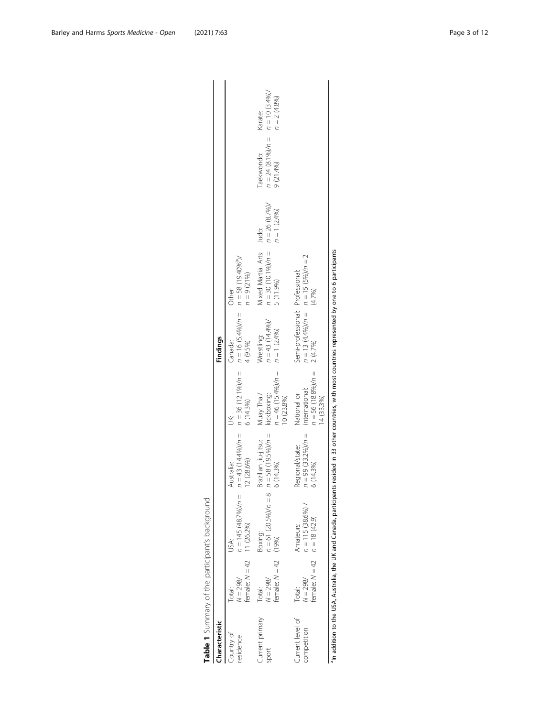<span id="page-2-0"></span>

| Characteristic                  |                                                          |                                           |                                                           |                                                                      | Findings                                                        |                                                                |                                    |                                                 |                                               |
|---------------------------------|----------------------------------------------------------|-------------------------------------------|-----------------------------------------------------------|----------------------------------------------------------------------|-----------------------------------------------------------------|----------------------------------------------------------------|------------------------------------|-------------------------------------------------|-----------------------------------------------|
| Country of<br>residence         | female: $N = 42$ 11 (26.2%)<br>$N = 298/$<br>Total:      | $n = 145(48.7%)/n =$<br>USA:              | $=43(14.4\%)/n =$<br>2 (28.6%)<br><b>Australia:</b>       | 6 (14.3%)<br>Š                                                       | $n = 36 (12.1\%)/n = n = 16 (5.4\%)/n =$<br>4 (9.5%)<br>Canada: | $n = 58(19.40\%)$<br>$n = 9(21%)$<br>Other:                    |                                    |                                                 |                                               |
| Current primary<br>sport        | female: $N = 42$ (19%)<br>$V = 298/$<br>Total:           | $n = 61 (20.5\%)/n = 8$<br><b>Boxing:</b> | $n = 58(19.5\%)/n =$<br>Brazilian jiu-jitsu:<br>6 (14.3%) | $n = 46$ (15.4%)/ $n =$<br>kickboxing:<br>Muay Thai/<br>10 (23.8%)   | $n = 43 (14.4\%)$<br>$n = 1 (2.4\%)$<br>Wrestling:              | Mixed Martial Arts: Judo:<br>$n = 30(10.1\%)/n =$<br>5 (11.9%) | $n = 26 (8.7%)/$<br>$n = 1 (2.4%)$ | $n = 24 (8.1\%)/n =$<br>Taekwondo:<br>9 (21.4%) | $n = 10 (3.4\%)$<br>$n = 2 (4.8%)$<br>Karate: |
| Current level of<br>competition | female: $N = 42$ $n = 18$ (42.9)<br>$V = 298/$<br>Total: | $n = 115(38.6%)$<br>Amateurs:             | $n = 99 (33.2\%)/n =$<br>Regional/state:<br>6 (14.3%)     | $n = 56 (18.8\%)/n =$<br>international:<br>14 (33.3%)<br>National or | Semi-professional: Professional:<br>2 (4.7%)                    | $n = 13 (4.4\%)/n = n = 15 (5\%)/n = 2$<br>(4.7%)              |                                    |                                                 |                                               |

aIn addition to the USA, Australia, the UK and Canada, participants resided in 33 other countries, with most countries represented by one to 6 participants ≌<br>≌ ž  $\geq$ 튭  $5, w$ ž.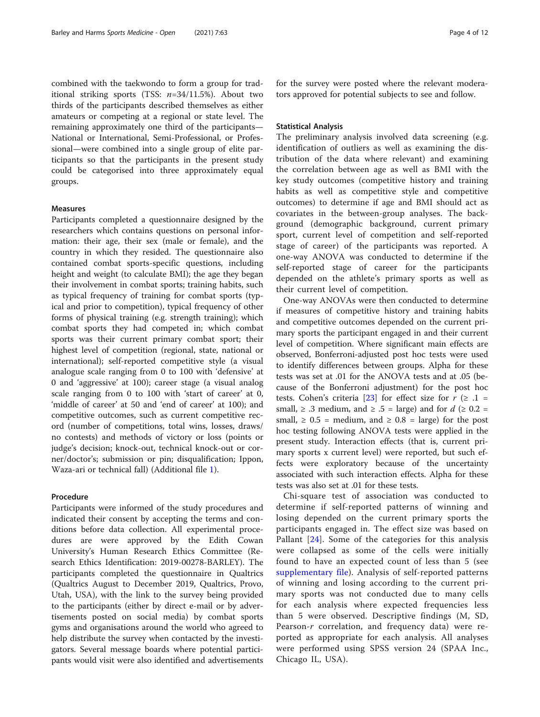combined with the taekwondo to form a group for traditional striking sports (TSS:  $n=34/11.5%$ ). About two thirds of the participants described themselves as either amateurs or competing at a regional or state level. The remaining approximately one third of the participants— National or International, Semi-Professional, or Professional—were combined into a single group of elite participants so that the participants in the present study could be categorised into three approximately equal groups.

#### Measures

Participants completed a questionnaire designed by the researchers which contains questions on personal information: their age, their sex (male or female), and the country in which they resided. The questionnaire also contained combat sports-specific questions, including height and weight (to calculate BMI); the age they began their involvement in combat sports; training habits, such as typical frequency of training for combat sports (typical and prior to competition), typical frequency of other forms of physical training (e.g. strength training); which combat sports they had competed in; which combat sports was their current primary combat sport; their highest level of competition (regional, state, national or international); self-reported competitive style (a visual analogue scale ranging from 0 to 100 with 'defensive' at 0 and 'aggressive' at 100); career stage (a visual analog scale ranging from 0 to 100 with 'start of career' at 0, 'middle of career' at 50 and 'end of career' at 100); and competitive outcomes, such as current competitive record (number of competitions, total wins, losses, draws/ no contests) and methods of victory or loss (points or judge's decision; knock-out, technical knock-out or corner/doctor's; submission or pin; disqualification; Ippon, Waza-ari or technical fall) (Additional file [1](#page-10-0)).

#### Procedure

Participants were informed of the study procedures and indicated their consent by accepting the terms and conditions before data collection. All experimental procedures are were approved by the Edith Cowan University's Human Research Ethics Committee (Research Ethics Identification: 2019-00278-BARLEY). The participants completed the questionnaire in Qualtrics (Qualtrics August to December 2019, Qualtrics, Provo, Utah, USA), with the link to the survey being provided to the participants (either by direct e-mail or by advertisements posted on social media) by combat sports gyms and organisations around the world who agreed to help distribute the survey when contacted by the investigators. Several message boards where potential participants would visit were also identified and advertisements for the survey were posted where the relevant moderators approved for potential subjects to see and follow.

#### Statistical Analysis

The preliminary analysis involved data screening (e.g. identification of outliers as well as examining the distribution of the data where relevant) and examining the correlation between age as well as BMI with the key study outcomes (competitive history and training habits as well as competitive style and competitive outcomes) to determine if age and BMI should act as covariates in the between-group analyses. The background (demographic background, current primary sport, current level of competition and self-reported stage of career) of the participants was reported. A one-way ANOVA was conducted to determine if the self-reported stage of career for the participants depended on the athlete's primary sports as well as their current level of competition.

One-way ANOVAs were then conducted to determine if measures of competitive history and training habits and competitive outcomes depended on the current primary sports the participant engaged in and their current level of competition. Where significant main effects are observed, Bonferroni-adjusted post hoc tests were used to identify differences between groups. Alpha for these tests was set at .01 for the ANOVA tests and at .05 (because of the Bonferroni adjustment) for the post hoc tests. Cohen's criteria [[23](#page-11-0)] for effect size for  $r$  ( $\geq$  .1 = small,  $\ge$  .3 medium, and  $\ge$  .5 = large) and for  $d$  ( $\ge$  0.2 = small,  $\geq 0.5$  = medium, and  $\geq 0.8$  = large) for the post hoc testing following ANOVA tests were applied in the present study. Interaction effects (that is, current primary sports x current level) were reported, but such effects were exploratory because of the uncertainty associated with such interaction effects. Alpha for these tests was also set at .01 for these tests.

Chi-square test of association was conducted to determine if self-reported patterns of winning and losing depended on the current primary sports the participants engaged in. The effect size was based on Pallant [[24](#page-11-0)]. Some of the categories for this analysis were collapsed as some of the cells were initially found to have an expected count of less than 5 (see [supplementary file](#page-10-0)). Analysis of self-reported patterns of winning and losing according to the current primary sports was not conducted due to many cells for each analysis where expected frequencies less than 5 were observed. Descriptive findings (M, SD, Pearson-r correlation, and frequency data) were reported as appropriate for each analysis. All analyses were performed using SPSS version 24 (SPAA Inc., Chicago IL, USA).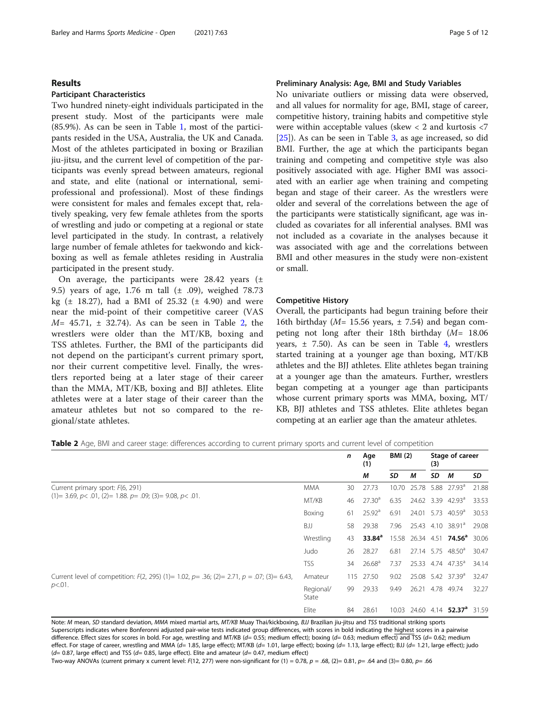## Results

## Participant Characteristics

Two hundred ninety-eight individuals participated in the present study. Most of the participants were male (85.9%). As can be seen in Table [1](#page-2-0), most of the participants resided in the USA, Australia, the UK and Canada. Most of the athletes participated in boxing or Brazilian jiu-jitsu, and the current level of competition of the participants was evenly spread between amateurs, regional and state, and elite (national or international, semiprofessional and professional). Most of these findings were consistent for males and females except that, relatively speaking, very few female athletes from the sports of wrestling and judo or competing at a regional or state level participated in the study. In contrast, a relatively large number of female athletes for taekwondo and kickboxing as well as female athletes residing in Australia participated in the present study.

On average, the participants were  $28.42$  years ( $\pm$ 9.5) years of age, 1.76 m tall (± .09), weighed 78.73 kg ( $\pm$  18.27), had a BMI of 25.32 ( $\pm$  4.90) and were near the mid-point of their competitive career (VAS  $M = 45.71$ ,  $\pm$  32.74). As can be seen in Table 2, the wrestlers were older than the MT/KB, boxing and TSS athletes. Further, the BMI of the participants did not depend on the participant's current primary sport, nor their current competitive level. Finally, the wrestlers reported being at a later stage of their career than the MMA, MT/KB, boxing and BJJ athletes. Elite athletes were at a later stage of their career than the amateur athletes but not so compared to the regional/state athletes.

## Preliminary Analysis: Age, BMI and Study Variables

No univariate outliers or missing data were observed, and all values for normality for age, BMI, stage of career, competitive history, training habits and competitive style were within acceptable values (skew < 2 and kurtosis <7 [[25\]](#page-11-0)). As can be seen in Table [3,](#page-5-0) as age increased, so did BMI. Further, the age at which the participants began training and competing and competitive style was also positively associated with age. Higher BMI was associated with an earlier age when training and competing began and stage of their career. As the wrestlers were older and several of the correlations between the age of the participants were statistically significant, age was included as covariates for all inferential analyses. BMI was not included as a covariate in the analyses because it was associated with age and the correlations between BMI and other measures in the study were non-existent or small.

### Competitive History

Overall, the participants had begun training before their 16th birthday ( $M = 15.56$  years,  $\pm 7.54$ ) and began competing not long after their 18th birthday (M= 18.06 years, ± 7.50). As can be seen in Table [4](#page-5-0), wrestlers started training at a younger age than boxing, MT/KB athletes and the BJJ athletes. Elite athletes began training at a younger age than the amateurs. Further, wrestlers began competing at a younger age than participants whose current primary sports was MMA, boxing, MT/ KB, BJJ athletes and TSS athletes. Elite athletes began competing at an earlier age than the amateur athletes.

Table 2 Age, BMI and career stage: differences according to current primary sports and current level of competition

|                                                                                             |                    | $\mathsf{n}$ | Age<br>(1)         | <b>BMI</b> (2) |       | (3) | Stage of career                                 |       |
|---------------------------------------------------------------------------------------------|--------------------|--------------|--------------------|----------------|-------|-----|-------------------------------------------------|-------|
|                                                                                             |                    |              | М                  | SD             | м     | SD  | М                                               | SD    |
| Current primary sport: F(6, 291)                                                            | <b>MMA</b>         | 30           | 27.73              | 10.70          | 25.78 |     | 5.88 27.93 <sup>a</sup>                         | 21.88 |
| $(1)$ = 3.69, p < .01, (2) = 1.88. p = .09; (3) = 9.08, p < .01.                            | MT/KB              | 46           | 27.30 <sup>a</sup> | 6.35           |       |     | 24.62 3.39 42.93 <sup>a</sup>                   | 33.53 |
|                                                                                             | Boxing             | 61           | $25.92^{\circ}$    | 6.91           |       |     | 24.01 5.73 40.59 <sup>a</sup>                   | 30.53 |
|                                                                                             | BJJ                | 58           | 29.38              | 7.96           |       |     | 25.43 4.10 38.91 <sup>a</sup>                   | 29.08 |
|                                                                                             | Wrestling          | 43           | $33.84^a$          |                |       |     | 15.58 26.34 4.51 <b>74.56<sup>a</sup></b> 30.06 |       |
|                                                                                             | Judo               | 26           | 28.27              | 6.81           |       |     | 27.14 5.75 48.50 <sup>a</sup>                   | 30.47 |
|                                                                                             | <b>TSS</b>         | 34           | 26.68 <sup>a</sup> | 7.37           |       |     | 25.33 4.74 47.35 <sup>a</sup>                   | 34.14 |
| Current level of competition: $F(2, 295)$ (1)= 1.02, p= .36; (2)= 2.71, p = .07; (3)= 6.43, | Amateur            |              | 115 27.50          | 9.02           |       |     | 25.08 5.42 37.39 <sup>a</sup>                   | 32.47 |
| $p<.01$ .                                                                                   | Regional/<br>State | 99           | 29.33              | 9.49           | 26.21 |     | 4.78 49.74                                      | 32.27 |
|                                                                                             | Elite              | 84           | 28.61              | 10.03          |       |     | 24.60 4.14 52.37 <sup>ª</sup> 31.59             |       |

Note: M mean, SD standard deviation, MMA mixed martial arts, MT/KB Muay Thai/kickboxing, BJJ Brazilian jiu-jitsu and TSS traditional striking sports Superscripts indicates where Bonferonni adjusted pair-wise tests indicated group differences, with scores in bold indicating the highest scores in a pairwise difference. Effect sizes for scores in bold. For age, wrestling and MT/KB (d= 0.55; medium effect); boxing (d= 0.63; medium effect) and TSS (d= 0.62; medium effect. For stage of career, wrestling and MMA (d= 1.85, large effect); MT/KB (d= 1.01, large effect); boxing (d= 1.13, large effect); BJJ (d= 1.21, large effect); judo  $(d= 0.87$ , large effect) and TSS  $(d= 0.85$ , large effect). Elite and amateur  $(d= 0.47$ , medium effect)

Two-way ANOVAs (current primary x current level: F(12, 277) were non-significant for (1) = 0.78,  $p = .68$ , (2)= 0.81,  $p = .64$  and (3)= 0.80,  $p = .66$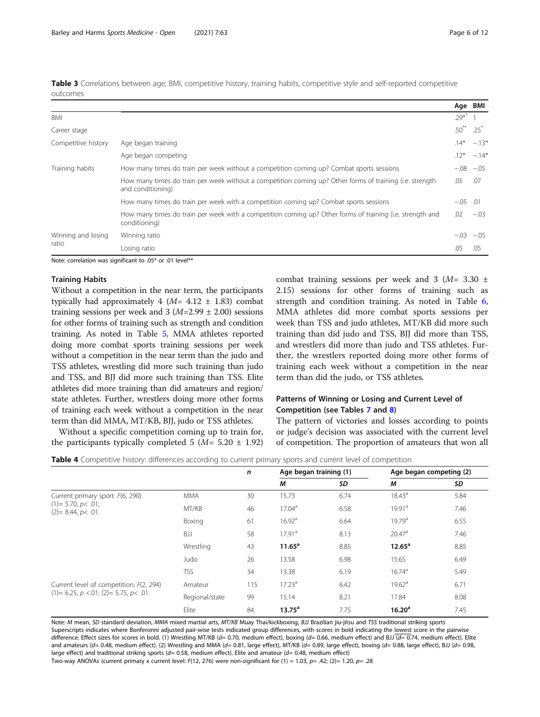<span id="page-5-0"></span>Table 3 Correlations between age, BMI, competitive history, training habits, competitive style and self-reported competitive outcomes

|                     |                                                                                                                               |            | Age BMI         |
|---------------------|-------------------------------------------------------------------------------------------------------------------------------|------------|-----------------|
| BMI                 |                                                                                                                               | $.29^{*}$  |                 |
| Career stage        |                                                                                                                               | $.50***$   | .25             |
| Competitive history | Age began training                                                                                                            |            | $.14* -.13*$    |
|                     | Age began competing                                                                                                           |            | $.12^* - .14^*$ |
| Training habits     | How many times do train per week without a competition coming up? Combat sports sessions                                      |            | $-.08$ $-.05$   |
|                     | How many times do train per week without a competition coming up? Other forms of training (i.e. strength<br>and conditioning) | .05        | .07             |
|                     | How many times do train per week with a competition coming up? Combat sports sessions                                         | $-.05$ .01 |                 |
|                     | How many times do train per week with a competition coming up? Other forms of training (i.e. strength and<br>conditioning)    | .02        | $-.03$          |
| Winning and losing  | Winning ratio                                                                                                                 |            | $-.03$ $-.05$   |
| ratio               | Losing ratio                                                                                                                  | .05        | .05             |
|                     | $M_{\rm BH}$ and $M_{\rm BH}$ and $M_{\rm BH}$ and $M_{\rm BH}$ and $M_{\rm BH}$ and $M_{\rm BH}$ and $M_{\rm BH}$            |            |                 |

Note: correlation was significant to .05\* or .01 level\*\*

### Training Habits

Without a competition in the near term, the participants typically had approximately 4 ( $M=$  4.12  $\pm$  1.83) combat training sessions per week and  $3 (M=2.99 \pm 2.00)$  sessions for other forms of training such as strength and condition training. As noted in Table [5,](#page-6-0) MMA athletes reported doing more combat sports training sessions per week without a competition in the near term than the judo and TSS athletes, wrestling did more such training than judo and TSS, and BJJ did more such training than TSS. Elite athletes did more training than did amateurs and region/ state athletes. Further, wrestlers doing more other forms of training each week without a competition in the near term than did MMA, MT/KB, BJJ, judo or TSS athletes.

week than TSS and judo athletes, MT/KB did more such training than did judo and TSS, BJJ did more than TSS, and wrestlers did more than judo and TSS athletes. Further, the wrestlers reported doing more other forms of training each week without a competition in the near term than did the judo, or TSS athletes.

## Patterns of Winning or Losing and Current Level of Competition (see Tables [7](#page-7-0) and [8\)](#page-8-0)

Without a specific competition coming up to train for, the participants typically completed 5 ( $M = 5.20 \pm 1.92$ ) The pattern of victories and losses according to points or judge's decision was associated with the current level of competition. The proportion of amateurs that won all

combat training sessions per week and 3  $(M= 3.30 \pm 1)$ 2.15) sessions for other forms of training such as strength and condition training. As noted in Table [6](#page-6-0), MMA athletes did more combat sports sessions per

Table 4 Competitive history: differences according to current primary sports and current level of competition

|                                                |                | $\mathbf n$                      | Age began training (1) |                    | Age began competing (2) |      |
|------------------------------------------------|----------------|----------------------------------|------------------------|--------------------|-------------------------|------|
|                                                |                |                                  | М                      | SD                 | M                       | SD   |
| Current primary sport: F(6, 290)               | <b>MMA</b>     | 30                               | 15.73                  | 6.74               | $18.43^{\circ}$         | 5.84 |
| $(1)= 5.70, p<.01;$<br>$(2)=8.44, p<.01$ .     | MT/KB          | 46                               | 17.04 <sup>a</sup>     | 6.58               | 19.91 <sup>a</sup>      | 7.46 |
|                                                | Boxing         | 61                               | 16.92 <sup>a</sup>     | 6.64               | 19.79 <sup>a</sup>      | 6.55 |
|                                                | BJJ            | 17.91 <sup>a</sup><br>8.13<br>58 |                        | 20.47 <sup>a</sup> | 7.46                    |      |
|                                                | Wrestling      | 43                               | $11.65^a$              | 8.85               | $12.65^a$               | 8.85 |
|                                                | Judo           | 26                               | 13.58                  | 6.98               | 15.65                   | 6.49 |
|                                                | <b>TSS</b>     | 34                               | 13.38                  | 6.19               | 16.74 <sup>a</sup>      | 5.49 |
| Current level of competition: F(2, 294)        | Amateur        | 115                              | 17.23 <sup>a</sup>     | 6.42               | 19.62 <sup>a</sup>      | 6.71 |
| $(1)$ = 6.25, $p$ <.01; (2) = 5.75, $p$ < .01. | Regional/state | 99                               | 15.14                  | 8.21               | 17.84                   | 8.08 |
|                                                | Elite          | 84                               | $13.75^a$              | 7.75               | 16.20 <sup>a</sup>      | 7.45 |

Note: M mean, SD standard deviation, MMA mixed martial arts, MT/KB Muay Thai/kickboxing, BJJ Brazilian jiu-jitsu and TSS traditional striking sports Superscripts indicates where Bonferonni adjusted pair-wise tests indicated group differences, with scores in bold indicating the lowest score in the pairwise difference. Effect sizes for scores in bold. (1) Wrestling MT/KB (d= 0.70, medium effect), boxing (d= 0.66, medium effect) and BJJ (d= 0.74, medium effect). Elite and amateurs ( $d= 0.48$ , medium effect). (2) Wrestling and MMA ( $d= 0.81$ , large effect), MT/KB ( $d= 0.89$ , large effect), boxing ( $d= 0.88$ , large effect), BJJ ( $d= 0.98$ , large effect) and traditional striking sports ( $d= 0.58$ , medium effect). Elite and amateur ( $d= 0.48$ , medium effect)

Two-way ANOVAs (current primary x current level: F(12, 276) were non-significant for (1) = 1.03, p= .42; (2)= 1.20, p= .28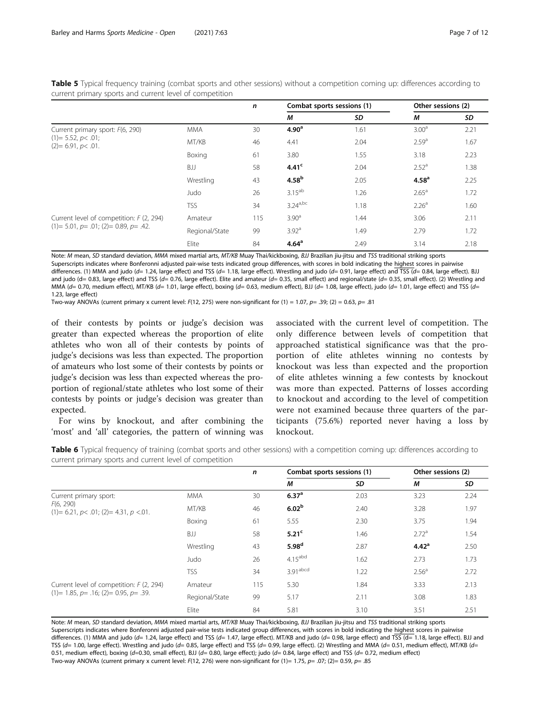<span id="page-6-0"></span>Table 5 Typical frequency training (combat sports and other sessions) without a competition coming up: differences according to current primary sports and current level of competition

|                                             |                | n   | Combat sports sessions (1) |      | Other sessions (2) |      |
|---------------------------------------------|----------------|-----|----------------------------|------|--------------------|------|
|                                             |                |     | М                          | SD   | M                  | SD   |
| Current primary sport: F(6, 290)            | <b>MMA</b>     | 30  | 4.90 <sup>a</sup>          | 1.61 | 3.00 <sup>a</sup>  | 2.21 |
| $(1)=$ 5.52, p< .01;<br>$(2)= 6.91, p<.01.$ | MT/KB          | 46  | 4.41                       | 2.04 | 2.59 <sup>a</sup>  | 1.67 |
|                                             | Boxing         | 61  | 3.80                       | 1.55 | 3.18               | 2.23 |
|                                             | BJJ            | 58  | 4.41 <sup>c</sup>          | 2.04 | 2.52 <sup>a</sup>  | 1.38 |
|                                             | Wrestling      | 43  | 4.58 <sup>b</sup>          | 2.05 | 4.58 <sup>a</sup>  | 2.25 |
|                                             | Judo           | 26  | $3.15^{ab}$                | 1.26 | $2.65^{\circ}$     | 1.72 |
|                                             | <b>TSS</b>     | 34  | $3.24^{a,bc}$              | 1.18 | 2.26 <sup>a</sup>  | 1.60 |
| Current level of competition: F (2, 294)    | Amateur        | 115 | 3.90 <sup>a</sup>          | 1.44 | 3.06               | 2.11 |
| $(1)=$ 5.01, $p=$ .01; (2)= 0.89, $p=$ .42. | Regional/State | 99  | 3.92 <sup>a</sup>          | 1.49 | 2.79               | 1.72 |
|                                             | Elite          | 84  | 4.64 <sup>a</sup>          | 2.49 | 3.14               | 2.18 |

Note: M mean, SD standard deviation, MMA mixed martial arts, MT/KB Muay Thai/kickboxing, BJJ Brazilian jiu-jitsu and TSS traditional striking sports Superscripts indicates where Bonferonni adjusted pair-wise tests indicated group differences, with scores in bold indicating the highest scores in pairwise differences. (1) MMA and judo (d= 1.24, large effect) and TSS (d= 1.18, large effect). Wrestling and judo (d= 0.91, large effect) and TSS (d= 0.84, large effect). BJJ and judo (d= 0.83, large effect) and TSS (d= 0.76, large effect). Elite and amateur (d= 0.35, small effect) and regional/state (d= 0.35, small effect). (2) Wrestling and MMA  $(d= 0.70$ , medium effect), MT/KB  $(d= 1.01)$ , large effect), boxing  $(d= 0.63)$ , medium effect), BJJ  $(d= 1.08)$ , large effect), judo  $(d= 1.01)$ , large effect) and TSS  $(d= 1.01)$ 1.23, large effect)

Two-way ANOVAs (current primary x current level: F(12, 275) were non-significant for (1) = 1.07,  $p=$  .39; (2) = 0.63,  $p=$  .81

of their contests by points or judge's decision was greater than expected whereas the proportion of elite athletes who won all of their contests by points of judge's decisions was less than expected. The proportion of amateurs who lost some of their contests by points or judge's decision was less than expected whereas the proportion of regional/state athletes who lost some of their contests by points or judge's decision was greater than expected.

associated with the current level of competition. The only difference between levels of competition that approached statistical significance was that the proportion of elite athletes winning no contests by knockout was less than expected and the proportion of elite athletes winning a few contests by knockout was more than expected. Patterns of losses according to knockout and according to the level of competition were not examined because three quarters of the participants (75.6%) reported never having a loss by knockout.

For wins by knockout, and after combining the 'most' and 'all' categories, the pattern of winning was

Table 6 Typical frequency of training (combat sports and other sessions) with a competition coming up: differences according to current primary sports and current level of competition

|                                                        |                | n   | Combat sports sessions (1) |      | Other sessions (2) |      |
|--------------------------------------------------------|----------------|-----|----------------------------|------|--------------------|------|
|                                                        |                |     | м                          | SD   | М                  | SD   |
| Current primary sport:                                 | <b>MMA</b>     | 30  | 6.37 <sup>a</sup>          | 2.03 | 3.23               | 2.24 |
| F(6, 290)<br>$(1)= 6.21, p < .01; (2)= 4.31, p < .01.$ | MT/KB          | 46  | 6.02 <sup>b</sup>          | 2.40 | 3.28               | 1.97 |
|                                                        | Boxing         | 61  | 5.55                       | 2.30 | 3.75               | 1.94 |
|                                                        | BJJ            | 58  | 5.21 <sup>c</sup>          | 1.46 | 2.72 <sup>a</sup>  | 1.54 |
|                                                        | Wrestling      | 43  | 5.98 <sup>d</sup>          | 2.87 | 4.42 <sup>a</sup>  | 2.50 |
|                                                        | Judo           | 26  | $4.15$ <sup>abd</sup>      | 1.62 | 2.73               | 1.73 |
|                                                        | <b>TSS</b>     | 34  | $3.91$ <sup>abcd</sup>     | 1.22 | 2.56 <sup>a</sup>  | 2.72 |
| Current level of competition: F (2, 294)               | Amateur        | 115 | 5.30                       | 1.84 | 3.33               | 2.13 |
| $(1)= 1.85, p = .16; (2)= 0.95, p = .39.$              | Regional/State | 99  | 5.17                       | 2.11 | 3.08               | 1.83 |
|                                                        | Elite          | 84  | 5.81                       | 3.10 | 3.51               | 2.51 |

Note: M mean, SD standard deviation, MMA mixed martial arts, MT/KB Muay Thai/kickboxing, BJJ Brazilian jiu-jitsu and TSS traditional striking sports Superscripts indicates where Bonferonni adjusted pair-wise tests indicated group differences, with scores in bold indicating the highest scores in pairwise differences. (1) MMA and judo ( $d= 1.24$ , large effect) and TSS ( $d= 1.47$ , large effect). MT/KB and judo ( $d= 0.98$ , large effect) and TSS ( $d= 1.18$ , large effect). BJJ and TSS ( $d= 1.00$ , large effect). Wrestling and judo ( $d= 0.85$ , large effect) and TSS ( $d= 0.99$ , large effect). (2) Wrestling and MMA ( $d= 0.51$ , medium effect), MT/KB ( $d=$ 0.51, medium effect), boxing (d=0.30, small effect), BJJ (d= 0.80, large effect); judo (d= 0.84, large effect) and TSS (d= 0.72, medium effect) Two-way ANOVAs (current primary x current level:  $F(12, 276)$  were non-significant for  $(1)= 1.75$ ,  $p= .07$ ;  $(2)= 0.59$ ,  $p= .85$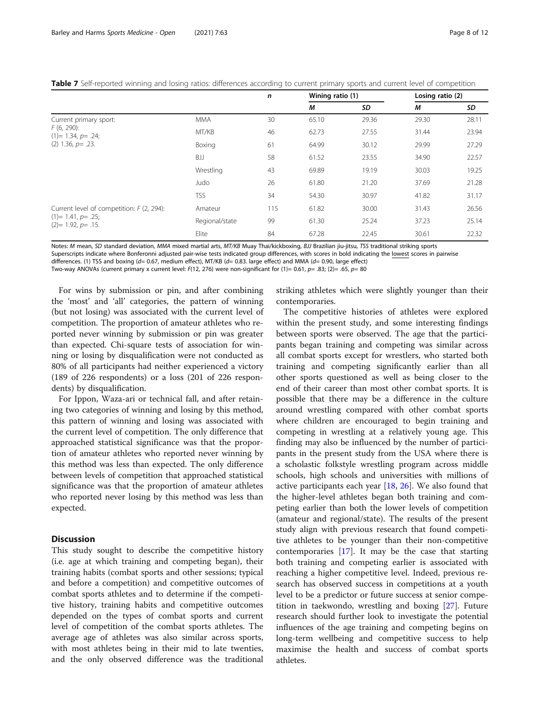<span id="page-7-0"></span>

|  |  | Table 7 Self-reported winning and losing ratios: differences according to current primary sports and current level of competition |  |  |  |
|--|--|-----------------------------------------------------------------------------------------------------------------------------------|--|--|--|
|  |  |                                                                                                                                   |  |  |  |

|                                            |                | n   | Wining ratio (1) |       | Losing ratio (2) |       |
|--------------------------------------------|----------------|-----|------------------|-------|------------------|-------|
|                                            |                |     | M                | SD    | М                | SD    |
| Current primary sport:                     | <b>MMA</b>     | 30  | 65.10            | 29.36 | 29.30            | 28.11 |
| $F(6, 290)$ :<br>$(1)= 1.34, p=.24;$       | MT/KB          | 46  | 62.73            | 27.55 | 31.44            | 23.94 |
| $(2)$ 1.36, $p = .23$ .                    | Boxing         | 61  | 64.99            | 30.12 | 29.99            | 27.29 |
|                                            | BJJ            | 58  | 61.52            | 23.55 | 34.90            | 22.57 |
|                                            | Wrestling      | 43  | 69.89            | 19.19 | 30.03            | 19.25 |
|                                            | Judo           | 26  | 61.80            | 21.20 | 37.69            | 21.28 |
|                                            | <b>TSS</b>     | 34  | 54.30            | 30.97 | 41.82            | 31.17 |
| Current level of competition: F (2, 294):  | Amateur        | 115 | 61.82            | 30.00 | 31.43            | 26.56 |
| $(1)= 1.41, p=.25;$<br>$(2)= 1.92, p=.15.$ | Regional/state | 99  | 61.30            | 25.24 | 37.23            | 25.14 |
|                                            | Elite          | 84  | 67.28            | 22.45 | 30.61            | 22.32 |

Notes: M mean, SD standard deviation, MMA mixed martial arts, MT/KB Muay Thai/kickboxing, BJJ Brazilian jiu-jitsu, TSS traditional striking sports

Superscripts indicate where Bonferonni adjusted pair-wise tests indicated group differences, with scores in bold indicating the lowest scores in pairwise

differences. (1) TSS and boxing (d= 0.67, medium effect), MT/KB (d= 0.83. large effect) and MMA (d= 0.90, large effect)

Two-way ANOVAs (current primary x current level: F(12, 276) were non-significant for (1)= 0.61, p= .83; (2)= .65, p= 80

For wins by submission or pin, and after combining the 'most' and 'all' categories, the pattern of winning (but not losing) was associated with the current level of competition. The proportion of amateur athletes who reported never winning by submission or pin was greater than expected. Chi-square tests of association for winning or losing by disqualification were not conducted as 80% of all participants had neither experienced a victory (189 of 226 respondents) or a loss (201 of 226 respondents) by disqualification.

For Ippon, Waza-ari or technical fall, and after retaining two categories of winning and losing by this method, this pattern of winning and losing was associated with the current level of competition. The only difference that approached statistical significance was that the proportion of amateur athletes who reported never winning by this method was less than expected. The only difference between levels of competition that approached statistical significance was that the proportion of amateur athletes who reported never losing by this method was less than expected.

## **Discussion**

This study sought to describe the competitive history (i.e. age at which training and competing began), their training habits (combat sports and other sessions; typical and before a competition) and competitive outcomes of combat sports athletes and to determine if the competitive history, training habits and competitive outcomes depended on the types of combat sports and current level of competition of the combat sports athletes. The average age of athletes was also similar across sports, with most athletes being in their mid to late twenties, and the only observed difference was the traditional striking athletes which were slightly younger than their contemporaries.

The competitive histories of athletes were explored within the present study, and some interesting findings between sports were observed. The age that the participants began training and competing was similar across all combat sports except for wrestlers, who started both training and competing significantly earlier than all other sports questioned as well as being closer to the end of their career than most other combat sports. It is possible that there may be a difference in the culture around wrestling compared with other combat sports where children are encouraged to begin training and competing in wrestling at a relatively young age. This finding may also be influenced by the number of participants in the present study from the USA where there is a scholastic folkstyle wrestling program across middle schools, high schools and universities with millions of active participants each year [[18](#page-11-0), [26](#page-11-0)]. We also found that the higher-level athletes began both training and competing earlier than both the lower levels of competition (amateur and regional/state). The results of the present study align with previous research that found competitive athletes to be younger than their non-competitive contemporaries [[17](#page-11-0)]. It may be the case that starting both training and competing earlier is associated with reaching a higher competitive level. Indeed, previous research has observed success in competitions at a youth level to be a predictor or future success at senior competition in taekwondo, wrestling and boxing [[27\]](#page-11-0). Future research should further look to investigate the potential influences of the age training and competing begins on long-term wellbeing and competitive success to help maximise the health and success of combat sports athletes.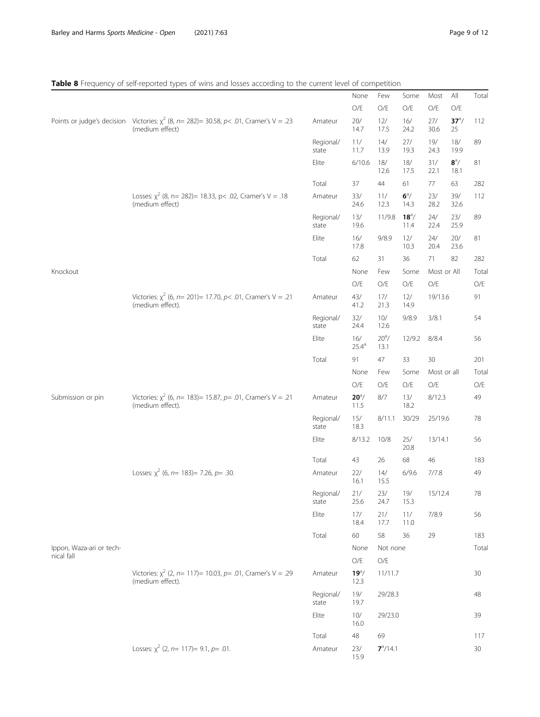## <span id="page-8-0"></span>Table 8 Frequency of self-reported types of wins and losses according to the current level of competition

|                          |                                                                                                                |                    | None                     | Few                    | Some                  | Most          | All                  | Total         |
|--------------------------|----------------------------------------------------------------------------------------------------------------|--------------------|--------------------------|------------------------|-----------------------|---------------|----------------------|---------------|
|                          |                                                                                                                |                    | O/E                      | O/E                    | O/E                   | $\bigcirc$ /E | O/E                  |               |
|                          | Points or judge's decision Victories: $\chi^2$ (8, n= 282)= 30.58, p< .01, Cramer's V = .23<br>(medium effect) | Amateur            | 20/<br>14.7              | 12/<br>17.5            | 16/<br>24.2           | $27/$<br>30.6 | $37^{\circ}/$<br>25  | 112           |
|                          |                                                                                                                | Regional/<br>state | 11/<br>11.7              | 14/<br>13.9            | 27/<br>19.3           | 19/<br>24.3   | 18/<br>19.9          | 89            |
|                          |                                                                                                                | Elite              | 6/10.6                   | 18/<br>12.6            | 18/<br>17.5           | 31/<br>22.1   | $8^{\circ}/$<br>18.1 | 81            |
|                          |                                                                                                                | Total              | 37                       | 44                     | 61                    | 77            | 63                   | 282           |
|                          | Losses: $\chi^2$ (8, n= 282)= 18.33, p< .02, Cramer's V = .18<br>(medium effect)                               | Amateur            | 33/<br>24.6              | 11/<br>12.3            | $6^{\circ}/$<br>14.3  | 23/<br>28.2   | 39/<br>32.6          | 112           |
|                          |                                                                                                                | Regional/<br>state | 13/<br>19.6              | 11/9.8                 | $18^{\circ}/$<br>11.4 | $24/$<br>22.4 | 23/<br>25.9          | 89            |
|                          |                                                                                                                | Elite              | 16/<br>17.8              | 9/8.9                  | 12/<br>10.3           | 24/<br>20.4   | 20/<br>23.6          | 81            |
|                          |                                                                                                                | Total              | 62                       | 31                     | 36                    | 71            | 82                   | 282           |
| Knockout                 |                                                                                                                |                    | None                     | Few                    | Some                  | Most or All   |                      | Total         |
|                          |                                                                                                                |                    | O/E                      | O/E                    | O/E                   | $\rm O/E$     |                      | $\bigcirc$ /E |
|                          | Victories: $\chi^2$ (6, n= 201)= 17.70, p< .01, Cramer's V = .21<br>(medium effect).                           | Amateur            | 43/<br>41.2              | 17/<br>21.3            | 12/<br>14.9           | 19/13.6       |                      | 91            |
|                          |                                                                                                                | Regional/<br>state | 32/<br>24.4              | 10/<br>12.6            | 9/8.9                 | 3/8.1         |                      | 54            |
|                          |                                                                                                                | Elite              | 16/<br>$25.4^{\circ}$    | $20^{\circ}$ /<br>13.1 | 12/9.2                | 8/8.4         |                      | 56            |
|                          |                                                                                                                | Total              | 91                       | 47                     | 33                    | 30            |                      | 201           |
|                          |                                                                                                                |                    | None                     | Few                    | Some                  | Most or all   |                      | Total         |
|                          |                                                                                                                |                    | O/E                      | O/E                    | O/E                   | $\bigcirc$ /E |                      | $\bigcirc$ /E |
| Submission or pin        | Victories: $\chi^2$ (6, n= 183)= 15.87, p= .01, Cramer's V = .21<br>(medium effect).                           | Amateur            | $20^{\circ}/$<br>11.5    | 8/7                    | 13/<br>18.2           | 8/12.3        |                      | 49            |
|                          |                                                                                                                | Regional/<br>state | 15/<br>18.3              | 8/11.1                 | 30/29                 | 25/19.6       |                      | 78            |
|                          |                                                                                                                | Elite              | 8/13.2                   | 10/8                   | 25/<br>20.8           | 13/14.1       |                      | 56            |
|                          |                                                                                                                | Total              | 43                       | 26                     | 68                    | 46            |                      | 183           |
|                          | Losses: $\chi^2$ (6, n= 183)= 7.26, p= .30.                                                                    | Amateur            | $22/$<br>16.1            | 14/<br>15.5            | 6/9.6                 | 7/7.8         |                      | 49            |
|                          |                                                                                                                | Regional/<br>state | $21/$<br>25.6            | $23/$<br>24.7          | 19/<br>15.3           | 15/12.4       |                      | 78            |
|                          |                                                                                                                | Elite              | 17/<br>18.4              | 21/<br>17.7            | 11/<br>11.0           | 7/8.9         |                      | 56            |
|                          |                                                                                                                | Total              | 60                       | 58                     | 36                    | 29            |                      | 183           |
| Ippon, Waza-ari or tech- |                                                                                                                |                    | None                     | Not none               |                       |               |                      | Total         |
| nical fall               |                                                                                                                |                    | O/E                      | O/E                    |                       |               |                      |               |
|                          | Victories: $\chi^2$ (2, n= 117)= 10.03, p= .01, Cramer's V = .29<br>(medium effect).                           | Amateur            | $19^{\text{a}}/$<br>12.3 | 11/11.7                |                       |               |                      | 30            |
|                          |                                                                                                                | Regional/<br>state | 19/<br>19.7              | 29/28.3                |                       |               |                      | 48            |
|                          |                                                                                                                | Elite              | 10/<br>16.0              | 29/23.0                |                       |               |                      | 39            |
|                          |                                                                                                                | Total              | $48\,$                   | 69                     |                       |               |                      | 117           |
|                          | Losses: $\chi^2$ (2, n= 117)= 9.1, p= .01.                                                                     | Amateur            | 23/<br>15.9              | $7^a/14.1$             |                       |               |                      | 30            |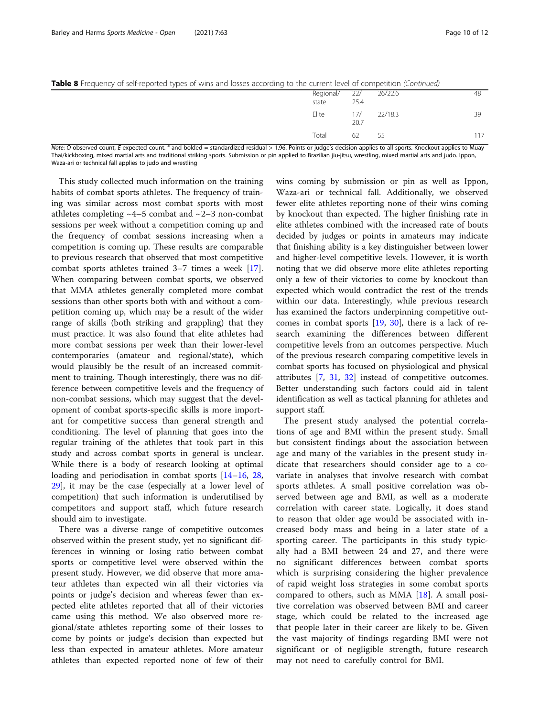|  |  |  | Table 8 Frequency of self-reported types of wins and losses according to the current level of competition (Continued) |
|--|--|--|-----------------------------------------------------------------------------------------------------------------------|
|  |  |  |                                                                                                                       |

| and a series of the substantial process to the contract of the series of the series of the first terms of the |                                |      |             |    |
|---------------------------------------------------------------------------------------------------------------|--------------------------------|------|-------------|----|
|                                                                                                               | Regional/ 22/ 26/22.6<br>state | 25.4 |             | 48 |
|                                                                                                               | Elite                          | 20.7 | 17/ 22/18.3 | 39 |
|                                                                                                               | Total                          | 62   | 55          |    |

Note: O observed count, E expected count.<sup>8</sup> and bolded = standardized residual > 1.96. Points or judge's decision applies to all sports. Knockout applies to Muay Thai/kickboxing, mixed martial arts and traditional striking sports. Submission or pin applied to Brazilian jiu-jitsu, wrestling, mixed martial arts and judo. Ippon, Waza-ari or technical fall applies to judo and wrestling

This study collected much information on the training habits of combat sports athletes. The frequency of training was similar across most combat sports with most athletes completing  $~4$ –5 combat and  $~2$ –3 non-combat sessions per week without a competition coming up and the frequency of combat sessions increasing when a competition is coming up. These results are comparable to previous research that observed that most competitive combat sports athletes trained 3–7 times a week [\[17](#page-11-0)]. When comparing between combat sports, we observed that MMA athletes generally completed more combat sessions than other sports both with and without a competition coming up, which may be a result of the wider range of skills (both striking and grappling) that they must practice. It was also found that elite athletes had more combat sessions per week than their lower-level contemporaries (amateur and regional/state), which would plausibly be the result of an increased commitment to training. Though interestingly, there was no difference between competitive levels and the frequency of non-combat sessions, which may suggest that the development of combat sports-specific skills is more important for competitive success than general strength and conditioning. The level of planning that goes into the regular training of the athletes that took part in this study and across combat sports in general is unclear. While there is a body of research looking at optimal loading and periodisation in combat sports [[14](#page-11-0)–[16](#page-11-0), [28](#page-11-0), [29\]](#page-11-0), it may be the case (especially at a lower level of competition) that such information is underutilised by competitors and support staff, which future research should aim to investigate.

There was a diverse range of competitive outcomes observed within the present study, yet no significant differences in winning or losing ratio between combat sports or competitive level were observed within the present study. However, we did observe that more amateur athletes than expected win all their victories via points or judge's decision and whereas fewer than expected elite athletes reported that all of their victories came using this method. We also observed more regional/state athletes reporting some of their losses to come by points or judge's decision than expected but less than expected in amateur athletes. More amateur athletes than expected reported none of few of their

wins coming by submission or pin as well as Ippon, Waza-ari or technical fall. Additionally, we observed fewer elite athletes reporting none of their wins coming by knockout than expected. The higher finishing rate in elite athletes combined with the increased rate of bouts decided by judges or points in amateurs may indicate that finishing ability is a key distinguisher between lower and higher-level competitive levels. However, it is worth noting that we did observe more elite athletes reporting only a few of their victories to come by knockout than expected which would contradict the rest of the trends within our data. Interestingly, while previous research has examined the factors underpinning competitive outcomes in combat sports [[19,](#page-11-0) [30\]](#page-11-0), there is a lack of research examining the differences between different competitive levels from an outcomes perspective. Much of the previous research comparing competitive levels in combat sports has focused on physiological and physical attributes [\[7](#page-11-0), [31](#page-11-0), [32\]](#page-11-0) instead of competitive outcomes. Better understanding such factors could aid in talent identification as well as tactical planning for athletes and support staff.

The present study analysed the potential correlations of age and BMI within the present study. Small but consistent findings about the association between age and many of the variables in the present study indicate that researchers should consider age to a covariate in analyses that involve research with combat sports athletes. A small positive correlation was observed between age and BMI, as well as a moderate correlation with career state. Logically, it does stand to reason that older age would be associated with increased body mass and being in a later state of a sporting career. The participants in this study typically had a BMI between 24 and 27, and there were no significant differences between combat sports which is surprising considering the higher prevalence of rapid weight loss strategies in some combat sports compared to others, such as MMA  $[18]$  $[18]$  $[18]$ . A small positive correlation was observed between BMI and career stage, which could be related to the increased age that people later in their career are likely to be. Given the vast majority of findings regarding BMI were not significant or of negligible strength, future research may not need to carefully control for BMI.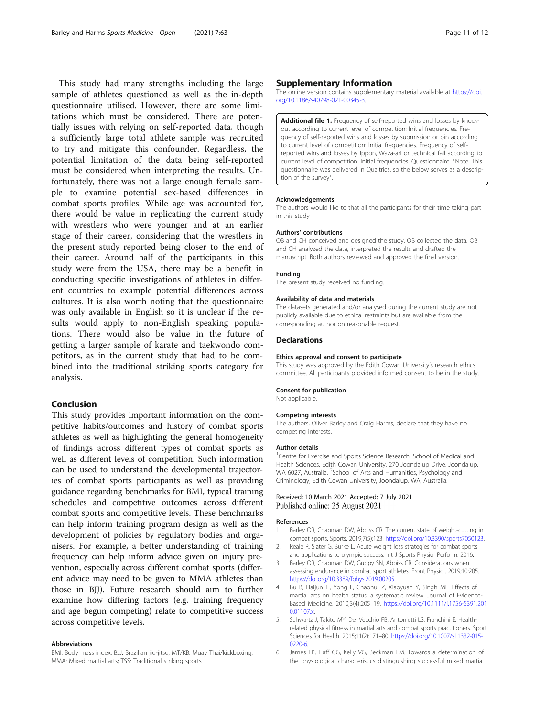<span id="page-10-0"></span>This study had many strengths including the large sample of athletes questioned as well as the in-depth questionnaire utilised. However, there are some limitations which must be considered. There are potentially issues with relying on self-reported data, though a sufficiently large total athlete sample was recruited to try and mitigate this confounder. Regardless, the potential limitation of the data being self-reported must be considered when interpreting the results. Unfortunately, there was not a large enough female sample to examine potential sex-based differences in combat sports profiles. While age was accounted for, there would be value in replicating the current study with wrestlers who were younger and at an earlier stage of their career, considering that the wrestlers in the present study reported being closer to the end of their career. Around half of the participants in this study were from the USA, there may be a benefit in conducting specific investigations of athletes in different countries to example potential differences across cultures. It is also worth noting that the questionnaire was only available in English so it is unclear if the results would apply to non-English speaking populations. There would also be value in the future of getting a larger sample of karate and taekwondo competitors, as in the current study that had to be combined into the traditional striking sports category for analysis.

## Conclusion

This study provides important information on the competitive habits/outcomes and history of combat sports athletes as well as highlighting the general homogeneity of findings across different types of combat sports as well as different levels of competition. Such information can be used to understand the developmental trajectories of combat sports participants as well as providing guidance regarding benchmarks for BMI, typical training schedules and competitive outcomes across different combat sports and competitive levels. These benchmarks can help inform training program design as well as the development of policies by regulatory bodies and organisers. For example, a better understanding of training frequency can help inform advice given on injury prevention, especially across different combat sports (different advice may need to be given to MMA athletes than those in BJJ). Future research should aim to further examine how differing factors (e.g. training frequency and age begun competing) relate to competitive success across competitive levels.

#### Abbreviations

BMI: Body mass index; BJJ: Brazilian jiu-jitsu; MT/KB: Muay Thai/kickboxing; MMA: Mixed martial arts; TSS: Traditional striking sports

## Supplementary Information

The online version contains supplementary material available at [https://doi.](https://doi.org/10.1186/s40798-021-00345-3) [org/10.1186/s40798-021-00345-3.](https://doi.org/10.1186/s40798-021-00345-3)

Additional file 1. Frequency of self-reported wins and losses by knockout according to current level of competition: Initial frequencies. Frequency of self-reported wins and losses by submission or pin according to current level of competition: Initial frequencies. Frequency of selfreported wins and losses by Ippon, Waza-ari or technical fall according to current level of competition: Initial frequencies. Questionnaire: \*Note: This questionnaire was delivered in Qualtrics, so the below serves as a description of the survey\*.

#### Acknowledgements

The authors would like to that all the participants for their time taking part in this study

#### Authors' contributions

OB and CH conceived and designed the study. OB collected the data. OB and CH analyzed the data, interpreted the results and drafted the manuscript. Both authors reviewed and approved the final version.

#### Funding

The present study received no funding.

#### Availability of data and materials

The datasets generated and/or analysed during the current study are not publicly available due to ethical restraints but are available from the corresponding author on reasonable request.

#### **Declarations**

#### Ethics approval and consent to participate

This study was approved by the Edith Cowan University's research ethics committee. All participants provided informed consent to be in the study.

#### Consent for publication

Not applicable.

#### Competing interests

The authors, Oliver Barley and Craig Harms, declare that they have no competing interests.

#### Author details

<sup>1</sup> Centre for Exercise and Sports Science Research, School of Medical and Health Sciences, Edith Cowan University, 270 Joondalup Drive, Joondalup, WA 6027, Australia. <sup>2</sup>School of Arts and Humanities, Psychology and Criminology, Edith Cowan University, Joondalup, WA, Australia.

#### Received: 10 March 2021 Accepted: 7 July 2021 Published online: 25 August 2021

#### References

- Barley OR, Chapman DW, Abbiss CR. The current state of weight-cutting in combat sports. Sports. 2019;7(5):123. <https://doi.org/10.3390/sports7050123>.
- 2. Reale R, Slater G, Burke L. Acute weight loss strategies for combat sports and applications to olympic success. Int J Sports Physiol Perform. 2016.
- 3. Barley OR, Chapman DW, Guppy SN, Abbiss CR. Considerations when assessing endurance in combat sport athletes. Front Physiol. 2019;10:205. <https://doi.org/10.3389/fphys.2019.00205>.
- 4. Bu B, Haijun H, Yong L, Chaohui Z, Xiaoyuan Y, Singh MF. Effects of martial arts on health status: a systematic review. Journal of Evidence-Based Medicine. 2010;3(4):205–19. [https://doi.org/10.1111/j.1756-5391.201](https://doi.org/10.1111/j.1756-5391.2010.01107.x) [0.01107.x](https://doi.org/10.1111/j.1756-5391.2010.01107.x).
- 5. Schwartz J, Takito MY, Del Vecchio FB, Antonietti LS, Franchini E. Healthrelated physical fitness in martial arts and combat sports practitioners. Sport Sciences for Health. 2015;11(2):171–80. [https://doi.org/10.1007/s11332-015-](https://doi.org/10.1007/s11332-015-0220-6) [0220-6.](https://doi.org/10.1007/s11332-015-0220-6)
- 6. James LP, Haff GG, Kelly VG, Beckman EM. Towards a determination of the physiological characteristics distinguishing successful mixed martial